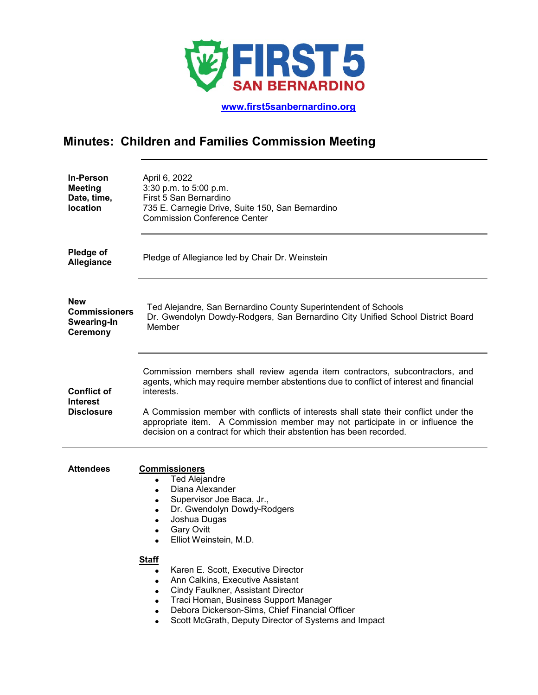

 **[www.first5sanbernardino.org](http://www.first5sanbernardino.org/)**

# **Minutes: Children and Families Commission Meeting**

| <b>In-Person</b><br><b>Meeting</b><br>Date, time,<br>location        | April 6, 2022<br>3:30 p.m. to 5:00 p.m.<br>First 5 San Bernardino<br>735 E. Carnegie Drive, Suite 150, San Bernardino<br><b>Commission Conference Center</b>                                                                                                                                                                                                                                                                                                                                                                                                                                       |
|----------------------------------------------------------------------|----------------------------------------------------------------------------------------------------------------------------------------------------------------------------------------------------------------------------------------------------------------------------------------------------------------------------------------------------------------------------------------------------------------------------------------------------------------------------------------------------------------------------------------------------------------------------------------------------|
| <b>Pledge of</b><br><b>Allegiance</b>                                | Pledge of Allegiance led by Chair Dr. Weinstein                                                                                                                                                                                                                                                                                                                                                                                                                                                                                                                                                    |
| <b>New</b><br><b>Commissioners</b><br>Swearing-In<br><b>Ceremony</b> | Ted Alejandre, San Bernardino County Superintendent of Schools<br>Dr. Gwendolyn Dowdy-Rodgers, San Bernardino City Unified School District Board<br>Member                                                                                                                                                                                                                                                                                                                                                                                                                                         |
| <b>Conflict of</b><br><b>Interest</b><br><b>Disclosure</b>           | Commission members shall review agenda item contractors, subcontractors, and<br>agents, which may require member abstentions due to conflict of interest and financial<br>interests.<br>A Commission member with conflicts of interests shall state their conflict under the<br>appropriate item. A Commission member may not participate in or influence the<br>decision on a contract for which their abstention has been recorded.                                                                                                                                                              |
| <b>Attendees</b>                                                     | <b>Commissioners</b><br><b>Ted Alejandre</b><br>$\bullet$<br>Diana Alexander<br>$\bullet$<br>Supervisor Joe Baca, Jr.,<br>$\bullet$<br>Dr. Gwendolyn Dowdy-Rodgers<br>$\bullet$<br>Joshua Dugas<br>$\bullet$<br><b>Gary Ovitt</b><br>$\bullet$<br>Elliot Weinstein, M.D.<br>$\bullet$<br><b>Staff</b><br>Karen E. Scott, Executive Director<br>$\bullet$<br>Ann Calkins, Executive Assistant<br>Cindy Faulkner, Assistant Director<br>Traci Homan, Business Support Manager<br>Debora Dickerson-Sims, Chief Financial Officer<br>Scott McGrath, Deputy Director of Systems and Impact<br>$\bullet$ |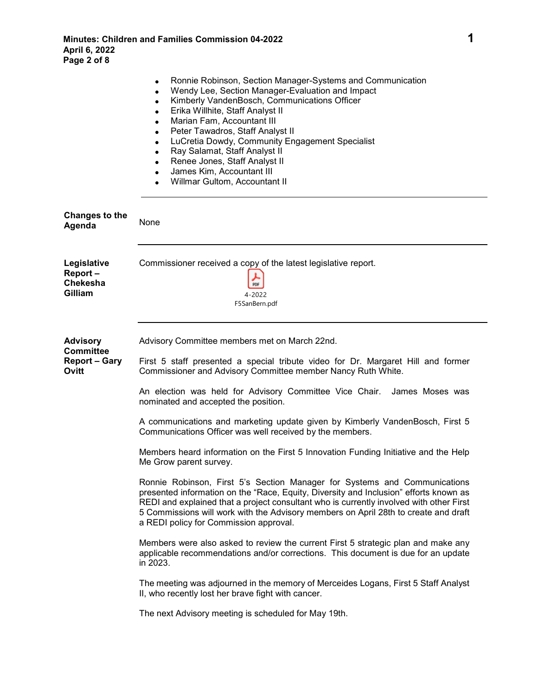|                                                                      | Ronnie Robinson, Section Manager-Systems and Communication<br>$\bullet$<br>Wendy Lee, Section Manager-Evaluation and Impact<br>$\bullet$<br>Kimberly VandenBosch, Communications Officer<br>$\bullet$<br>Erika Willhite, Staff Analyst II<br>$\bullet$<br>Marian Fam, Accountant III<br>$\bullet$<br>Peter Tawadros, Staff Analyst II<br>$\bullet$<br>LuCretia Dowdy, Community Engagement Specialist<br>$\bullet$<br>Ray Salamat, Staff Analyst II<br>٠<br>Renee Jones, Staff Analyst II<br>James Kim, Accountant III<br>Willmar Gultom, Accountant II<br>$\bullet$                                                                                                                                                                                                                                                                                                                                                                                                                                                                                                                                                                                                                                                                                                                                                     |
|----------------------------------------------------------------------|--------------------------------------------------------------------------------------------------------------------------------------------------------------------------------------------------------------------------------------------------------------------------------------------------------------------------------------------------------------------------------------------------------------------------------------------------------------------------------------------------------------------------------------------------------------------------------------------------------------------------------------------------------------------------------------------------------------------------------------------------------------------------------------------------------------------------------------------------------------------------------------------------------------------------------------------------------------------------------------------------------------------------------------------------------------------------------------------------------------------------------------------------------------------------------------------------------------------------------------------------------------------------------------------------------------------------|
| <b>Changes to the</b><br>Agenda                                      | None                                                                                                                                                                                                                                                                                                                                                                                                                                                                                                                                                                                                                                                                                                                                                                                                                                                                                                                                                                                                                                                                                                                                                                                                                                                                                                                     |
| Legislative<br>Report-<br>Chekesha<br>Gilliam                        | Commissioner received a copy of the latest legislative report.<br>PDF<br>4-2022<br>F5SanBern.pdf                                                                                                                                                                                                                                                                                                                                                                                                                                                                                                                                                                                                                                                                                                                                                                                                                                                                                                                                                                                                                                                                                                                                                                                                                         |
| <b>Advisory</b><br><b>Committee</b><br><b>Report - Gary</b><br>Ovitt | Advisory Committee members met on March 22nd.<br>First 5 staff presented a special tribute video for Dr. Margaret Hill and former<br>Commissioner and Advisory Committee member Nancy Ruth White.<br>An election was held for Advisory Committee Vice Chair.<br>James Moses was<br>nominated and accepted the position.<br>A communications and marketing update given by Kimberly VandenBosch, First 5<br>Communications Officer was well received by the members.<br>Members heard information on the First 5 Innovation Funding Initiative and the Help<br>Me Grow parent survey.<br>Ronnie Robinson, First 5's Section Manager for Systems and Communications<br>presented information on the "Race, Equity, Diversity and Inclusion" efforts known as<br>REDI and explained that a project consultant who is currently involved with other First<br>5 Commissions will work with the Advisory members on April 28th to create and draft<br>a REDI policy for Commission approval.<br>Members were also asked to review the current First 5 strategic plan and make any<br>applicable recommendations and/or corrections. This document is due for an update<br>in 2023.<br>The meeting was adjourned in the memory of Merceides Logans, First 5 Staff Analyst<br>II, who recently lost her brave fight with cancer. |
|                                                                      | The next Advisory meeting is scheduled for May 19th.                                                                                                                                                                                                                                                                                                                                                                                                                                                                                                                                                                                                                                                                                                                                                                                                                                                                                                                                                                                                                                                                                                                                                                                                                                                                     |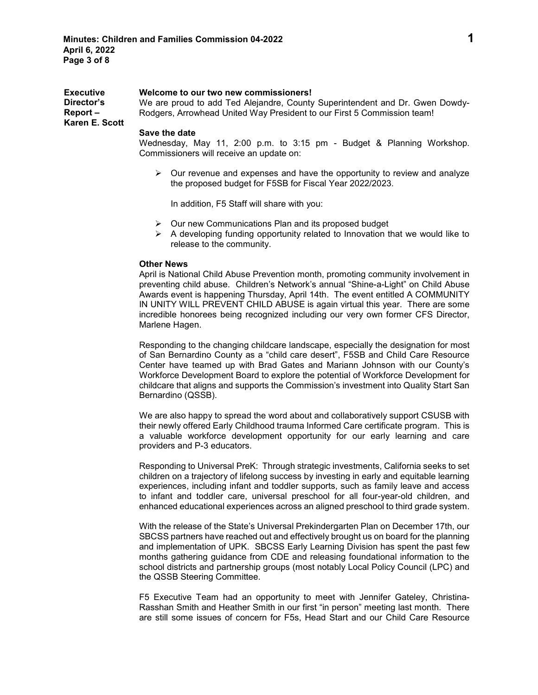| <b>Executive</b><br>Director's<br>Report-<br>Karen E. Scott | Welcome to our two new commissioners!<br>We are proud to add Ted Alejandre, County Superintendent and Dr. Gwen Dowdy-<br>Rodgers, Arrowhead United Way President to our First 5 Commission team!                                                                                                                                                                                                                                                                      |
|-------------------------------------------------------------|-----------------------------------------------------------------------------------------------------------------------------------------------------------------------------------------------------------------------------------------------------------------------------------------------------------------------------------------------------------------------------------------------------------------------------------------------------------------------|
|                                                             | Save the date<br>Wednesday, May 11, 2:00 p.m. to 3:15 pm - Budget & Planning Workshop.<br>Commissioners will receive an update on:                                                                                                                                                                                                                                                                                                                                    |
|                                                             | $\triangleright$ Our revenue and expenses and have the opportunity to review and analyze<br>the proposed budget for F5SB for Fiscal Year 2022/2023.                                                                                                                                                                                                                                                                                                                   |
|                                                             | In addition, F5 Staff will share with you:                                                                                                                                                                                                                                                                                                                                                                                                                            |
|                                                             | $\triangleright$ Our new Communications Plan and its proposed budget<br>A developing funding opportunity related to Innovation that we would like to<br>release to the community.                                                                                                                                                                                                                                                                                     |
|                                                             | <b>Other News</b><br>April is National Child Abuse Prevention month, promoting community involvement in<br>preventing child abuse. Children's Network's annual "Shine-a-Light" on Child Abuse<br>Awards event is happening Thursday, April 14th. The event entitled A COMMUNITY<br>IN UNITY WILL PREVENT CHILD ABUSE is again virtual this year. There are some<br>incredible honorees being recognized including our very own former CFS Director,<br>Marlene Hagen. |
|                                                             | Responding to the changing childcare landscape, especially the designation for most<br>of San Bernardino County as a "child care desert", F5SB and Child Care Resource<br>Center have teamed up with Brad Gates and Mariann Johnson with our County's<br>Workforce Development Board to explore the potential of Workforce Development for<br>childcare that aligns and supports the Commission's investment into Quality Start San<br>Bernardino (QSSB).             |

We are also happy to spread the word about and collaboratively support CSUSB with their newly offered Early Childhood trauma Informed Care certificate program. This is a valuable workforce development opportunity for our early learning and care providers and P-3 educators.

Responding to Universal PreK: Through strategic investments, California seeks to set children on a trajectory of lifelong success by investing in early and equitable learning experiences, including infant and toddler supports, such as family leave and access to infant and toddler care, universal preschool for all four-year-old children, and enhanced educational experiences across an aligned preschool to third grade system.

With the release of the State's Universal Prekindergarten Plan on December 17th, our SBCSS partners have reached out and effectively brought us on board for the planning and implementation of UPK. SBCSS Early Learning Division has spent the past few months gathering guidance from CDE and releasing foundational information to the school districts and partnership groups (most notably Local Policy Council (LPC) and the QSSB Steering Committee.

F5 Executive Team had an opportunity to meet with Jennifer Gateley, Christina-Rasshan Smith and Heather Smith in our first "in person" meeting last month. There are still some issues of concern for F5s, Head Start and our Child Care Resource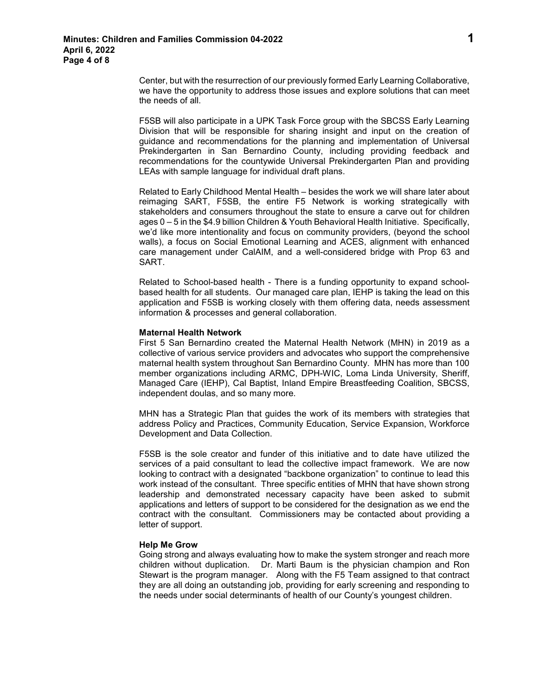Center, but with the resurrection of our previously formed Early Learning Collaborative, we have the opportunity to address those issues and explore solutions that can meet the needs of all.

F5SB will also participate in a UPK Task Force group with the SBCSS Early Learning Division that will be responsible for sharing insight and input on the creation of guidance and recommendations for the planning and implementation of Universal Prekindergarten in San Bernardino County, including providing feedback and recommendations for the countywide Universal Prekindergarten Plan and providing LEAs with sample language for individual draft plans.

Related to Early Childhood Mental Health – besides the work we will share later about reimaging SART, F5SB, the entire F5 Network is working strategically with stakeholders and consumers throughout the state to ensure a carve out for children ages 0 – 5 in the \$4.9 billion Children & Youth Behavioral Health Initiative. Specifically, we'd like more intentionality and focus on community providers, (beyond the school walls), a focus on Social Emotional Learning and ACES, alignment with enhanced care management under CalAIM, and a well-considered bridge with Prop 63 and SART.

Related to School-based health - There is a funding opportunity to expand schoolbased health for all students. Our managed care plan, IEHP is taking the lead on this application and F5SB is working closely with them offering data, needs assessment information & processes and general collaboration.

# **Maternal Health Network**

First 5 San Bernardino created the Maternal Health Network (MHN) in 2019 as a collective of various service providers and advocates who support the comprehensive maternal health system throughout San Bernardino County. MHN has more than 100 member organizations including ARMC, DPH-WIC, Loma Linda University, Sheriff, Managed Care (IEHP), Cal Baptist, Inland Empire Breastfeeding Coalition, SBCSS, independent doulas, and so many more.

MHN has a Strategic Plan that guides the work of its members with strategies that address Policy and Practices, Community Education, Service Expansion, Workforce Development and Data Collection.

F5SB is the sole creator and funder of this initiative and to date have utilized the services of a paid consultant to lead the collective impact framework. We are now looking to contract with a designated "backbone organization" to continue to lead this work instead of the consultant. Three specific entities of MHN that have shown strong leadership and demonstrated necessary capacity have been asked to submit applications and letters of support to be considered for the designation as we end the contract with the consultant. Commissioners may be contacted about providing a letter of support.

## **Help Me Grow**

Going strong and always evaluating how to make the system stronger and reach more children without duplication. Dr. Marti Baum is the physician champion and Ron Stewart is the program manager. Along with the F5 Team assigned to that contract they are all doing an outstanding job, providing for early screening and responding to the needs under social determinants of health of our County's youngest children.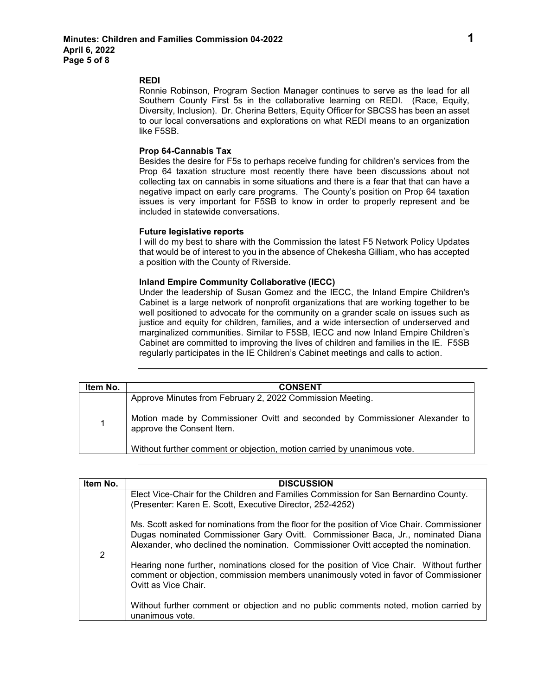#### **REDI**

Ronnie Robinson, Program Section Manager continues to serve as the lead for all Southern County First 5s in the collaborative learning on REDI. (Race, Equity, Diversity, Inclusion). Dr. Cherina Betters, Equity Officer for SBCSS has been an asset to our local conversations and explorations on what REDI means to an organization like F5SB.

# **Prop 64-Cannabis Tax**

Besides the desire for F5s to perhaps receive funding for children's services from the Prop 64 taxation structure most recently there have been discussions about not collecting tax on cannabis in some situations and there is a fear that that can have a negative impact on early care programs. The County's position on Prop 64 taxation issues is very important for F5SB to know in order to properly represent and be included in statewide conversations.

## **Future legislative reports**

I will do my best to share with the Commission the latest F5 Network Policy Updates that would be of interest to you in the absence of Chekesha Gilliam, who has accepted a position with the County of Riverside.

# **Inland Empire Community Collaborative (IECC)**

Under the leadership of Susan Gomez and the IECC, the Inland Empire Children's Cabinet is a large network of nonprofit organizations that are working together to be well positioned to advocate for the community on a grander scale on issues such as justice and equity for children, families, and a wide intersection of underserved and marginalized communities. Similar to F5SB, IECC and now Inland Empire Children's Cabinet are committed to improving the lives of children and families in the IE. F5SB regularly participates in the IE Children's Cabinet meetings and calls to action.

| Item No. | <b>CONSENT</b>                                                                                           |
|----------|----------------------------------------------------------------------------------------------------------|
|          | Approve Minutes from February 2, 2022 Commission Meeting.                                                |
| 1        | Motion made by Commissioner Ovitt and seconded by Commissioner Alexander to<br>approve the Consent Item. |
|          | Without further comment or objection, motion carried by unanimous vote.                                  |

| Item No. | <b>DISCUSSION</b>                                                                                                                                                                                                                                                      |
|----------|------------------------------------------------------------------------------------------------------------------------------------------------------------------------------------------------------------------------------------------------------------------------|
| 2        | Elect Vice-Chair for the Children and Families Commission for San Bernardino County.<br>(Presenter: Karen E. Scott, Executive Director, 252-4252)                                                                                                                      |
|          | Ms. Scott asked for nominations from the floor for the position of Vice Chair. Commissioner<br>Dugas nominated Commissioner Gary Ovitt. Commissioner Baca, Jr., nominated Diana<br>Alexander, who declined the nomination. Commissioner Ovitt accepted the nomination. |
|          | Hearing none further, nominations closed for the position of Vice Chair. Without further<br>comment or objection, commission members unanimously voted in favor of Commissioner<br>Ovitt as Vice Chair.                                                                |
|          | Without further comment or objection and no public comments noted, motion carried by<br>unanimous vote.                                                                                                                                                                |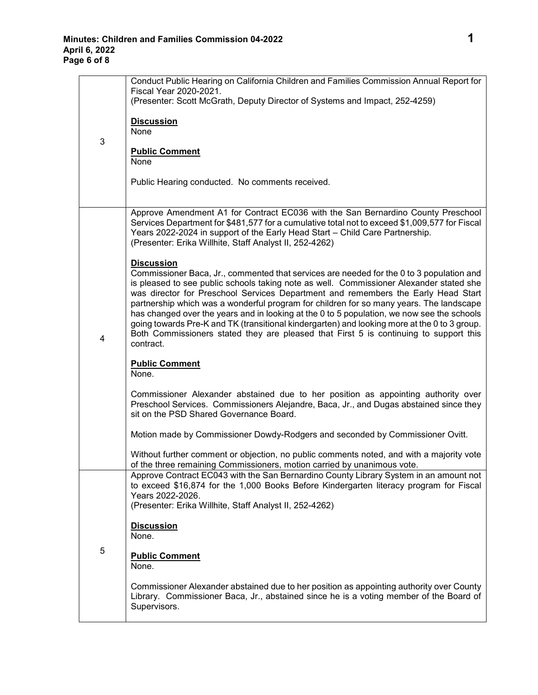|   | Conduct Public Hearing on California Children and Families Commission Annual Report for<br>Fiscal Year 2020-2021.                                                                                                                                                                                                                                                                                                                                                                      |
|---|----------------------------------------------------------------------------------------------------------------------------------------------------------------------------------------------------------------------------------------------------------------------------------------------------------------------------------------------------------------------------------------------------------------------------------------------------------------------------------------|
| 3 | (Presenter: Scott McGrath, Deputy Director of Systems and Impact, 252-4259)                                                                                                                                                                                                                                                                                                                                                                                                            |
|   | <b>Discussion</b><br>None                                                                                                                                                                                                                                                                                                                                                                                                                                                              |
|   | <b>Public Comment</b><br>None                                                                                                                                                                                                                                                                                                                                                                                                                                                          |
|   | Public Hearing conducted. No comments received.                                                                                                                                                                                                                                                                                                                                                                                                                                        |
|   |                                                                                                                                                                                                                                                                                                                                                                                                                                                                                        |
| 4 | Approve Amendment A1 for Contract EC036 with the San Bernardino County Preschool<br>Services Department for \$481,577 for a cumulative total not to exceed \$1,009,577 for Fiscal<br>Years 2022-2024 in support of the Early Head Start - Child Care Partnership.<br>(Presenter: Erika Willhite, Staff Analyst II, 252-4262)                                                                                                                                                           |
|   | <b>Discussion</b><br>Commissioner Baca, Jr., commented that services are needed for the 0 to 3 population and<br>is pleased to see public schools taking note as well. Commissioner Alexander stated she<br>was director for Preschool Services Department and remembers the Early Head Start<br>partnership which was a wonderful program for children for so many years. The landscape<br>has changed over the years and in looking at the 0 to 5 population, we now see the schools |
|   | going towards Pre-K and TK (transitional kindergarten) and looking more at the 0 to 3 group.<br>Both Commissioners stated they are pleased that First 5 is continuing to support this<br>contract.                                                                                                                                                                                                                                                                                     |
|   | <b>Public Comment</b><br>None.                                                                                                                                                                                                                                                                                                                                                                                                                                                         |
|   | Commissioner Alexander abstained due to her position as appointing authority over<br>Preschool Services. Commissioners Alejandre, Baca, Jr., and Dugas abstained since they<br>sit on the PSD Shared Governance Board.                                                                                                                                                                                                                                                                 |
|   | Motion made by Commissioner Dowdy-Rodgers and seconded by Commissioner Ovitt.                                                                                                                                                                                                                                                                                                                                                                                                          |
|   | Without further comment or objection, no public comments noted, and with a majority vote<br>of the three remaining Commissioners, motion carried by unanimous vote.                                                                                                                                                                                                                                                                                                                    |
|   | Approve Contract EC043 with the San Bernardino County Library System in an amount not<br>to exceed \$16,874 for the 1,000 Books Before Kindergarten literacy program for Fiscal<br>Years 2022-2026.                                                                                                                                                                                                                                                                                    |
|   | (Presenter: Erika Willhite, Staff Analyst II, 252-4262)                                                                                                                                                                                                                                                                                                                                                                                                                                |
|   | <b>Discussion</b><br>None.                                                                                                                                                                                                                                                                                                                                                                                                                                                             |
| 5 | <b>Public Comment</b><br>None.                                                                                                                                                                                                                                                                                                                                                                                                                                                         |
|   | Commissioner Alexander abstained due to her position as appointing authority over County<br>Library. Commissioner Baca, Jr., abstained since he is a voting member of the Board of<br>Supervisors.                                                                                                                                                                                                                                                                                     |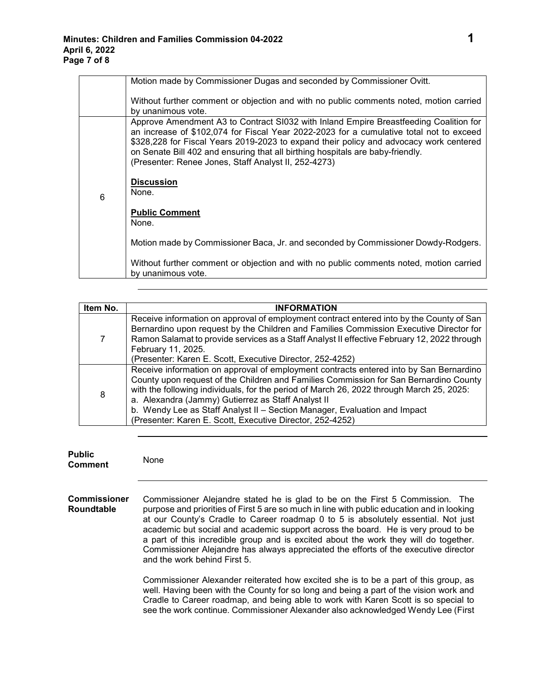|   | Motion made by Commissioner Dugas and seconded by Commissioner Ovitt.                                                                                                                                                                                                                                                                                                                                                |
|---|----------------------------------------------------------------------------------------------------------------------------------------------------------------------------------------------------------------------------------------------------------------------------------------------------------------------------------------------------------------------------------------------------------------------|
|   | Without further comment or objection and with no public comments noted, motion carried<br>by unanimous vote.                                                                                                                                                                                                                                                                                                         |
| 6 | Approve Amendment A3 to Contract SI032 with Inland Empire Breastfeeding Coalition for<br>an increase of \$102,074 for Fiscal Year 2022-2023 for a cumulative total not to exceed<br>\$328,228 for Fiscal Years 2019-2023 to expand their policy and advocacy work centered<br>on Senate Bill 402 and ensuring that all birthing hospitals are baby-friendly.<br>(Presenter: Renee Jones, Staff Analyst II, 252-4273) |
|   | <b>Discussion</b><br>None.                                                                                                                                                                                                                                                                                                                                                                                           |
|   | <b>Public Comment</b><br>None.                                                                                                                                                                                                                                                                                                                                                                                       |
|   | Motion made by Commissioner Baca, Jr. and seconded by Commissioner Dowdy-Rodgers.                                                                                                                                                                                                                                                                                                                                    |
|   | Without further comment or objection and with no public comments noted, motion carried<br>by unanimous vote.                                                                                                                                                                                                                                                                                                         |

| Item No. | <b>INFORMATION</b>                                                                                                                                                                                                                                                                                                                                                                                                                                                          |
|----------|-----------------------------------------------------------------------------------------------------------------------------------------------------------------------------------------------------------------------------------------------------------------------------------------------------------------------------------------------------------------------------------------------------------------------------------------------------------------------------|
|          | Receive information on approval of employment contract entered into by the County of San<br>Bernardino upon request by the Children and Families Commission Executive Director for<br>Ramon Salamat to provide services as a Staff Analyst II effective February 12, 2022 through<br>February 11, 2025.<br>(Presenter: Karen E. Scott, Executive Director, 252-4252)                                                                                                        |
| 8        | Receive information on approval of employment contracts entered into by San Bernardino<br>County upon request of the Children and Families Commission for San Bernardino County<br>with the following individuals, for the period of March 26, 2022 through March 25, 2025:<br>a. Alexandra (Jammy) Gutierrez as Staff Analyst II<br>b. Wendy Lee as Staff Analyst II - Section Manager, Evaluation and Impact<br>(Presenter: Karen E. Scott, Executive Director, 252-4252) |

| <b>Public</b><br><b>Comment</b>          | None                                                                                                                                                                           |
|------------------------------------------|--------------------------------------------------------------------------------------------------------------------------------------------------------------------------------|
| <b>Commissioner</b><br><b>Roundtable</b> | Commissioner Alejandre stated he is glad to be on the First 5 Commission.<br>The<br>purpose and priorities of First 5 are so much in line with public education and in looking |

at our County's Cradle to Career roadmap 0 to 5 is absolutely essential. Not just academic but social and academic support across the board. He is very proud to be a part of this incredible group and is excited about the work they will do together. Commissioner Alejandre has always appreciated the efforts of the executive director and the work behind First 5.

Commissioner Alexander reiterated how excited she is to be a part of this group, as well. Having been with the County for so long and being a part of the vision work and Cradle to Career roadmap, and being able to work with Karen Scott is so special to see the work continue. Commissioner Alexander also acknowledged Wendy Lee (First